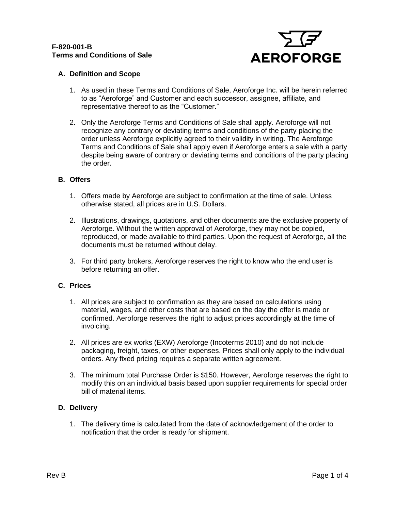

# **A. Definition and Scope**

- 1. As used in these Terms and Conditions of Sale, Aeroforge Inc. will be herein referred to as "Aeroforge" and Customer and each successor, assignee, affiliate, and representative thereof to as the "Customer."
- 2. Only the Aeroforge Terms and Conditions of Sale shall apply. Aeroforge will not recognize any contrary or deviating terms and conditions of the party placing the order unless Aeroforge explicitly agreed to their validity in writing. The Aeroforge Terms and Conditions of Sale shall apply even if Aeroforge enters a sale with a party despite being aware of contrary or deviating terms and conditions of the party placing the order.

# **B. Offers**

- 1. Offers made by Aeroforge are subject to confirmation at the time of sale. Unless otherwise stated, all prices are in U.S. Dollars.
- 2. Illustrations, drawings, quotations, and other documents are the exclusive property of Aeroforge. Without the written approval of Aeroforge, they may not be copied, reproduced, or made available to third parties. Upon the request of Aeroforge, all the documents must be returned without delay.
- 3. For third party brokers, Aeroforge reserves the right to know who the end user is before returning an offer.

# **C. Prices**

- 1. All prices are subject to confirmation as they are based on calculations using material, wages, and other costs that are based on the day the offer is made or confirmed. Aeroforge reserves the right to adjust prices accordingly at the time of invoicing.
- 2. All prices are ex works (EXW) Aeroforge (Incoterms 2010) and do not include packaging, freight, taxes, or other expenses. Prices shall only apply to the individual orders. Any fixed pricing requires a separate written agreement.
- 3. The minimum total Purchase Order is \$150. However, Aeroforge reserves the right to modify this on an individual basis based upon supplier requirements for special order bill of material items.

# **D. Delivery**

1. The delivery time is calculated from the date of acknowledgement of the order to notification that the order is ready for shipment.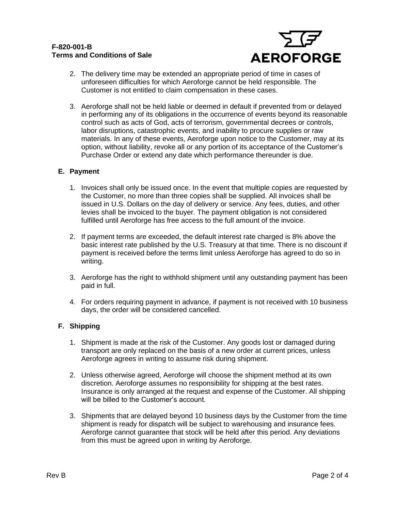## **F-820-001-B Terms and Conditions of Sale**



- 2. The delivery time may be extended an appropriate period of time in cases of unforeseen difficulties for which Aeroforge cannot be held responsible. The Customer is not entitled to claim compensation in these cases.
- 3. Aeroforge shall not be held liable or deemed in default if prevented from or delayed in performing any of its obligations in the occurrence of events beyond its reasonable control such as acts of God, acts of terrorism, governmental decrees or controls, labor disruptions, catastrophic events, and inability to procure supplies or raw materials. In any of these events, Aeroforge upon notice to the Customer, may at its option, without liability, revoke all or any portion of its acceptance of the Customer's Purchase Order or extend any date which performance thereunder is due.

# **E. Payment**

- 1. Invoices shall only be issued once. In the event that multiple copies are requested by the Customer, no more than three copies shall be supplied. All invoices shall be issued in U.S. Dollars on the day of delivery or service. Any fees, duties, and other levies shall be invoiced to the buyer. The payment obligation is not considered fulfilled until Aeroforge has free access to the full amount of the invoice.
- 2. If payment terms are exceeded, the default interest rate charged is 8% above the basic interest rate published by the U.S. Treasury at that time. There is no discount if payment is received before the terms limit unless Aeroforge has agreed to do so in writing.
- 3. Aeroforge has the right to withhold shipment until any outstanding payment has been paid in full.
- 4. For orders requiring payment in advance, if payment is not received with 10 business days, the order will be considered cancelled.

# **F. Shipping**

- 1. Shipment is made at the risk of the Customer. Any goods lost or damaged during transport are only replaced on the basis of a new order at current prices, unless Aeroforge agrees in writing to assume risk during shipment.
- 2. Unless otherwise agreed, Aeroforge will choose the shipment method at its own discretion. Aeroforge assumes no responsibility for shipping at the best rates. Insurance is only arranged at the request and expense of the Customer. All shipping will be billed to the Customer's account.
- 3. Shipments that are delayed beyond 10 business days by the Customer from the time shipment is ready for dispatch will be subject to warehousing and insurance fees. Aeroforge cannot guarantee that stock will be held after this period. Any deviations from this must be agreed upon in writing by Aeroforge.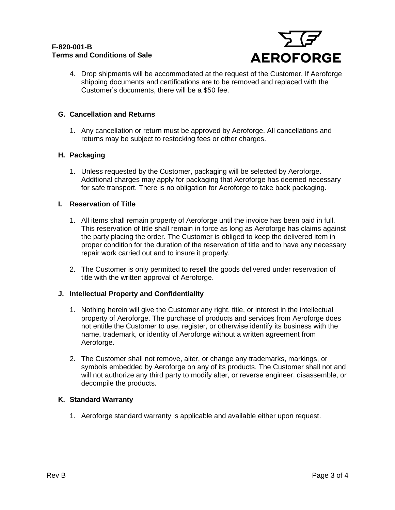

4. Drop shipments will be accommodated at the request of the Customer. If Aeroforge shipping documents and certifications are to be removed and replaced with the Customer's documents, there will be a \$50 fee.

## **G. Cancellation and Returns**

1. Any cancellation or return must be approved by Aeroforge. All cancellations and returns may be subject to restocking fees or other charges.

### **H. Packaging**

1. Unless requested by the Customer, packaging will be selected by Aeroforge. Additional charges may apply for packaging that Aeroforge has deemed necessary for safe transport. There is no obligation for Aeroforge to take back packaging.

### **I. Reservation of Title**

- 1. All items shall remain property of Aeroforge until the invoice has been paid in full. This reservation of title shall remain in force as long as Aeroforge has claims against the party placing the order. The Customer is obliged to keep the delivered item in proper condition for the duration of the reservation of title and to have any necessary repair work carried out and to insure it properly.
- 2. The Customer is only permitted to resell the goods delivered under reservation of title with the written approval of Aeroforge.

#### **J. Intellectual Property and Confidentiality**

- 1. Nothing herein will give the Customer any right, title, or interest in the intellectual property of Aeroforge. The purchase of products and services from Aeroforge does not entitle the Customer to use, register, or otherwise identify its business with the name, trademark, or identity of Aeroforge without a written agreement from Aeroforge.
- 2. The Customer shall not remove, alter, or change any trademarks, markings, or symbols embedded by Aeroforge on any of its products. The Customer shall not and will not authorize any third party to modify alter, or reverse engineer, disassemble, or decompile the products.

#### **K. Standard Warranty**

1. Aeroforge standard warranty is applicable and available either upon request.